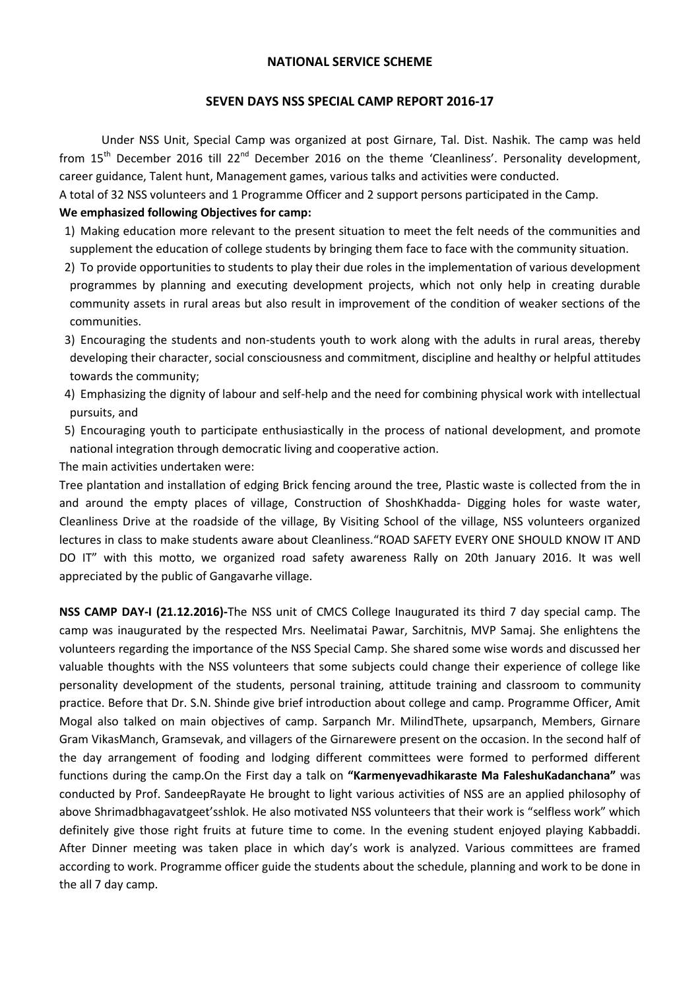## **NATIONAL SERVICE SCHEME**

## **SEVEN DAYS NSS SPECIAL CAMP REPORT 2016-17**

Under NSS Unit, Special Camp was organized at post Girnare, Tal. Dist. Nashik. The camp was held from  $15<sup>th</sup>$  December 2016 till 22<sup>nd</sup> December 2016 on the theme 'Cleanliness'. Personality development, career guidance, Talent hunt, Management games, various talks and activities were conducted.

A total of 32 NSS volunteers and 1 Programme Officer and 2 support persons participated in the Camp.

## **We emphasized following Objectives for camp:**

- 1) Making education more relevant to the present situation to meet the felt needs of the communities and supplement the education of college students by bringing them face to face with the community situation.
- 2) To provide opportunities to students to play their due roles in the implementation of various development programmes by planning and executing development projects, which not only help in creating durable community assets in rural areas but also result in improvement of the condition of weaker sections of the communities.
- 3) Encouraging the students and non-students youth to work along with the adults in rural areas, thereby developing their character, social consciousness and commitment, discipline and healthy or helpful attitudes towards the community;
- 4) Emphasizing the dignity of labour and self-help and the need for combining physical work with intellectual pursuits, and
- 5) Encouraging youth to participate enthusiastically in the process of national development, and promote national integration through democratic living and cooperative action.

The main activities undertaken were:

Tree plantation and installation of edging Brick fencing around the tree, Plastic waste is collected from the in and around the empty places of village, Construction of ShoshKhadda- Digging holes for waste water, Cleanliness Drive at the roadside of the village, By Visiting School of the village, NSS volunteers organized lectures in class to make students aware about Cleanliness."ROAD SAFETY EVERY ONE SHOULD KNOW IT AND DO IT" with this motto, we organized road safety awareness Rally on 20th January 2016. It was well appreciated by the public of Gangavarhe village.

**NSS CAMP DAY-I (21.12.2016)-**The NSS unit of CMCS College Inaugurated its third 7 day special camp. The camp was inaugurated by the respected Mrs. Neelimatai Pawar, Sarchitnis, MVP Samaj. She enlightens the volunteers regarding the importance of the NSS Special Camp. She shared some wise words and discussed her valuable thoughts with the NSS volunteers that some subjects could change their experience of college like personality development of the students, personal training, attitude training and classroom to community practice. Before that Dr. S.N. Shinde give brief introduction about college and camp. Programme Officer, Amit Mogal also talked on main objectives of camp. Sarpanch Mr. MilindThete, upsarpanch, Members, Girnare Gram VikasManch, Gramsevak, and villagers of the Girnarewere present on the occasion. In the second half of the day arrangement of fooding and lodging different committees were formed to performed different functions during the camp.On the First day a talk on **"Karmenyevadhikaraste Ma FaleshuKadanchana"** was conducted by Prof. SandeepRayate He brought to light various activities of NSS are an applied philosophy of above Shrimadbhagavatgeet'sshlok. He also motivated NSS volunteers that their work is "selfless work" which definitely give those right fruits at future time to come. In the evening student enjoyed playing Kabbaddi. After Dinner meeting was taken place in which day's work is analyzed. Various committees are framed according to work. Programme officer guide the students about the schedule, planning and work to be done in the all 7 day camp.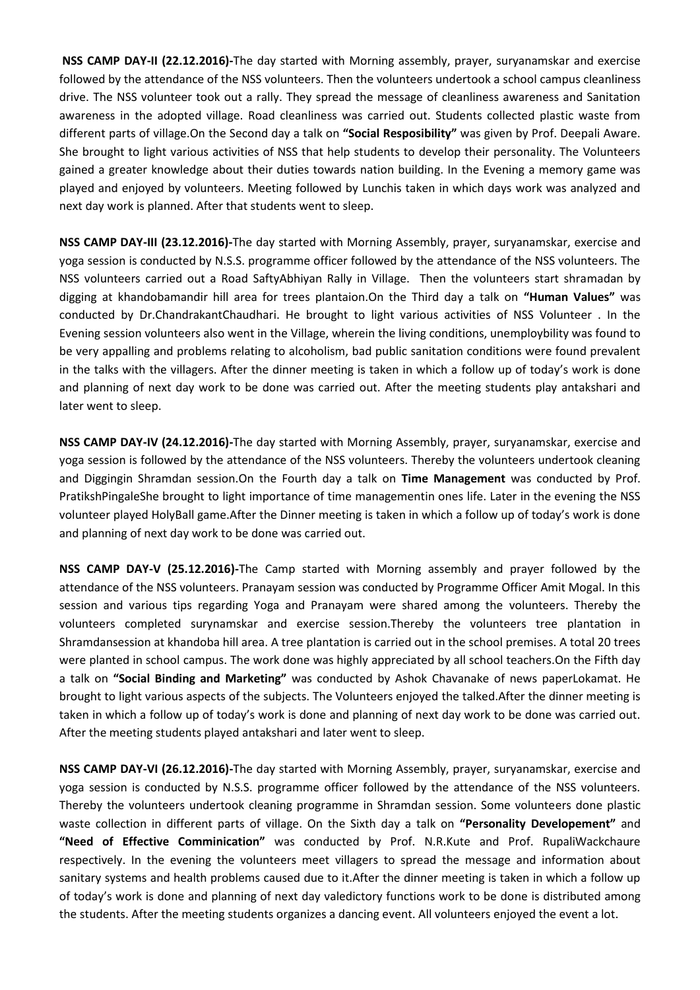**NSS CAMP DAY-II (22.12.2016)-**The day started with Morning assembly, prayer, suryanamskar and exercise followed by the attendance of the NSS volunteers. Then the volunteers undertook a school campus cleanliness drive. The NSS volunteer took out a rally. They spread the message of cleanliness awareness and Sanitation awareness in the adopted village. Road cleanliness was carried out. Students collected plastic waste from different parts of village.On the Second day a talk on **"Social Resposibility"** was given by Prof. Deepali Aware. She brought to light various activities of NSS that help students to develop their personality. The Volunteers gained a greater knowledge about their duties towards nation building. In the Evening a memory game was played and enjoyed by volunteers. Meeting followed by Lunchis taken in which days work was analyzed and next day work is planned. After that students went to sleep.

**NSS CAMP DAY-III (23.12.2016)-**The day started with Morning Assembly, prayer, suryanamskar, exercise and yoga session is conducted by N.S.S. programme officer followed by the attendance of the NSS volunteers. The NSS volunteers carried out a Road SaftyAbhiyan Rally in Village. Then the volunteers start shramadan by digging at khandobamandir hill area for trees plantaion.On the Third day a talk on **"Human Values"** was conducted by Dr.ChandrakantChaudhari. He brought to light various activities of NSS Volunteer . In the Evening session volunteers also went in the Village, wherein the living conditions, unemploybility was found to be very appalling and problems relating to alcoholism, bad public sanitation conditions were found prevalent in the talks with the villagers. After the dinner meeting is taken in which a follow up of today's work is done and planning of next day work to be done was carried out. After the meeting students play antakshari and later went to sleep.

**NSS CAMP DAY-IV (24.12.2016)-**The day started with Morning Assembly, prayer, suryanamskar, exercise and yoga session is followed by the attendance of the NSS volunteers. Thereby the volunteers undertook cleaning and Diggingin Shramdan session.On the Fourth day a talk on **Time Management** was conducted by Prof. PratikshPingaleShe brought to light importance of time managementin ones life. Later in the evening the NSS volunteer played HolyBall game.After the Dinner meeting is taken in which a follow up of today's work is done and planning of next day work to be done was carried out.

**NSS CAMP DAY-V (25.12.2016)-**The Camp started with Morning assembly and prayer followed by the attendance of the NSS volunteers. Pranayam session was conducted by Programme Officer Amit Mogal. In this session and various tips regarding Yoga and Pranayam were shared among the volunteers. Thereby the volunteers completed surynamskar and exercise session.Thereby the volunteers tree plantation in Shramdansession at khandoba hill area. A tree plantation is carried out in the school premises. A total 20 trees were planted in school campus. The work done was highly appreciated by all school teachers.On the Fifth day a talk on **"Social Binding and Marketing"** was conducted by Ashok Chavanake of news paperLokamat. He brought to light various aspects of the subjects. The Volunteers enjoyed the talked.After the dinner meeting is taken in which a follow up of today's work is done and planning of next day work to be done was carried out. After the meeting students played antakshari and later went to sleep.

**NSS CAMP DAY-VI (26.12.2016)-**The day started with Morning Assembly, prayer, suryanamskar, exercise and yoga session is conducted by N.S.S. programme officer followed by the attendance of the NSS volunteers. Thereby the volunteers undertook cleaning programme in Shramdan session. Some volunteers done plastic waste collection in different parts of village. On the Sixth day a talk on **"Personality Developement"** and **"Need of Effective Comminication"** was conducted by Prof. N.R.Kute and Prof. RupaliWackchaure respectively. In the evening the volunteers meet villagers to spread the message and information about sanitary systems and health problems caused due to it.After the dinner meeting is taken in which a follow up of today's work is done and planning of next day valedictory functions work to be done is distributed among the students. After the meeting students organizes a dancing event. All volunteers enjoyed the event a lot.